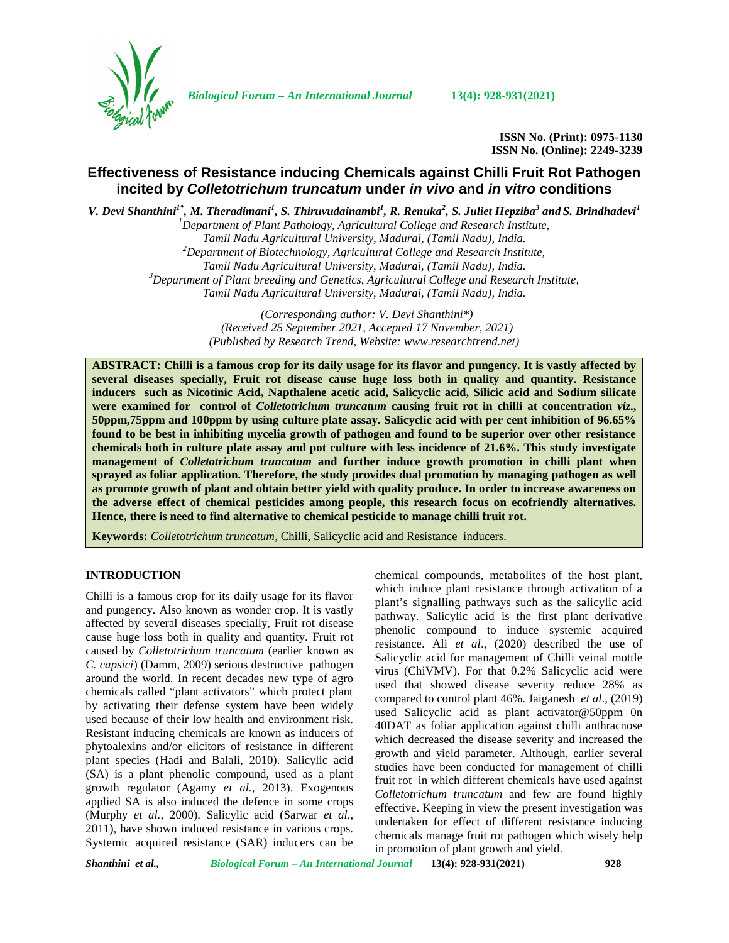

*Biological Forum – An International Journal* **13(4): 928-931(2021)**

**ISSN No. (Print): 0975-1130 ISSN No. (Online): 2249-3239**

# **Effectiveness of Resistance inducing Chemicals against Chilli Fruit Rot Pathogen incited by** *Colletotrichum truncatum* **under** *in vivo* **and** *in vitro* **conditions**

V. Devi Shanthini<sup>1\*</sup>, M. Theradimani<sup>1</sup>, S. Thiruvudainambi<sup>1</sup>, R. Renuka<sup>2</sup>, S. Juliet Hepziba<sup>3</sup> and S. Brindhadevi<sup>1</sup>

*<sup>1</sup>Department of Plant Pathology, Agricultural College and Research Institute, Tamil Nadu Agricultural University, Madurai, (Tamil Nadu), India. <sup>2</sup>Department of Biotechnology, Agricultural College and Research Institute, Tamil Nadu Agricultural University, Madurai, (Tamil Nadu), India. <sup>3</sup>Department of Plant breeding and Genetics, Agricultural College and Research Institute, Tamil Nadu Agricultural University, Madurai, (Tamil Nadu), India.*

> *(Corresponding author: V. Devi Shanthini\*) (Received 25 September 2021, Accepted 17 November, 2021) (Published by Research Trend, Website: [www.researchtrend.net\)](www.researchtrend.net)*

**ABSTRACT: Chilli is a famous crop for its daily usage for its flavor and pungency. It is vastly affected by several diseases specially, Fruit rot disease cause huge loss both in quality and quantity. Resistance inducers such as Nicotinic Acid, Napthalene acetic acid, Salicyclic acid, Silicic acid and Sodium silicate were examined for control of** *Colletotrichum truncatum* **causing fruit rot in chilli at concentration** *viz***., 50ppm,75ppm and 100ppm by using culture plate assay. Salicyclic acid with per cent inhibition of 96.65% found to be best in inhibiting mycelia growth of pathogen and found to be superior over other resistance chemicals both in culture plate assay and pot culture with less incidence of 21.6%. This study investigate management of** *Colletotrichum truncatum* **and further induce growth promotion in chilli plant when sprayed as foliar application. Therefore, the study provides dual promotion by managing pathogen as well as promote growth of plant and obtain better yield with quality produce. In order to increase awareness on the adverse effect of chemical pesticides among people, this research focus on ecofriendly alternatives. Hence, there is need to find alternative to chemical pesticide to manage chilli fruit rot.**

**Keywords:** *Colletotrichum truncatum*, Chilli, Salicyclic acid and Resistance inducers.

## **INTRODUCTION**

Chilli is a famous crop for its daily usage for its flavor and pungency. Also known as wonder crop. It is vastly affected by several diseases specially, Fruit rot disease cause huge loss both in quality and quantity. Fruit rot caused by *Colletotrichum truncatum* (earlier known as *C. capsici*) (Damm, 2009) serious destructive pathogen around the world. In recent decades new type of agro chemicals called "plant activators" which protect plant by activating their defense system have been widely used because of their low health and environment risk. Resistant inducing chemicals are known as inducers of phytoalexins and/or elicitors of resistance in different plant species (Hadi and Balali, 2010). Salicylic acid (SA) is a plant phenolic compound, used as a plant growth regulator (Agamy *et al.,* 2013). Exogenous applied SA is also induced the defence in some crops (Murphy *et al.,* 2000). Salicylic acid (Sarwar *et al*., 2011), have shown induced resistance in various crops. Systemic acquired resistance (SAR) inducers can be

chemical compounds, metabolites of the host plant, which induce plant resistance through activation of a plant's signalling pathways such as the salicylic acid pathway. Salicylic acid is the first plant derivative phenolic compound to induce systemic acquired resistance. Ali *et al*., (2020) described the use of Salicyclic acid for management of Chilli veinal mottle virus (ChiVMV). For that 0.2% Salicyclic acid were used that showed disease severity reduce 28% as compared to control plant 46%. Jaiganesh *et al*., (2019) used Salicyclic acid as plant activator@50ppm 0n 40DAT as foliar application against chilli anthracnose which decreased the disease severity and increased the growth and yield parameter. Although, earlier several studies have been conducted for management of chilli fruit rot in which different chemicals have used against *Colletotrichum truncatum* and few are found highly effective. Keeping in view the present investigation was undertaken for effect of different resistance inducing chemicals manage fruit rot pathogen which wisely help in promotion of plant growth and yield.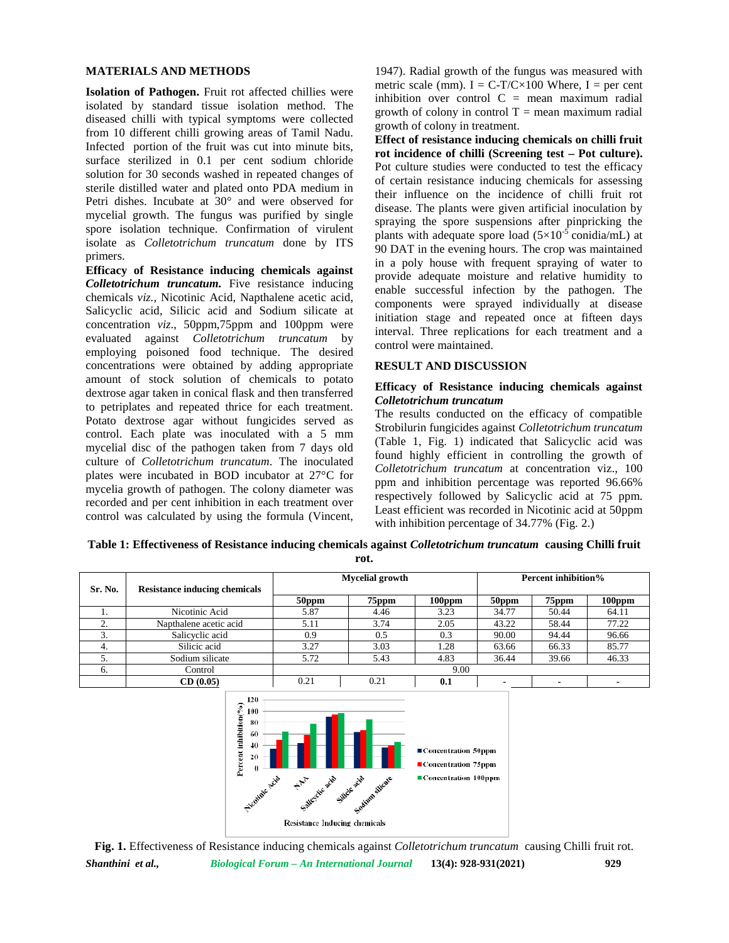### **MATERIALS AND METHODS**

**Isolation of Pathogen.** Fruit rot affected chillies were isolated by standard tissue isolation method. The diseased chilli with typical symptoms were collected from 10 different chilli growing areas of Tamil Nadu. Infected portion of the fruit was cut into minute bits, surface sterilized in 0.1 per cent sodium chloride solution for 30 seconds washed in repeated changes of sterile distilled water and plated onto PDA medium in Petri dishes. Incubate at 30° and were observed for mycelial growth. The fungus was purified by single spore isolation technique. Confirmation of virulent isolate as *Colletotrichum truncatum* done by ITS primers.

**Efficacy of Resistance inducing chemicals against** *Colletotrichum truncatum.* Five resistance inducing chemicals *viz.,* Nicotinic Acid, Napthalene acetic acid, Salicyclic acid, Silicic acid and Sodium silicate at concentration *viz*., 50ppm,75ppm and 100ppm were evaluated against *Colletotrichum truncatum* by employing poisoned food technique. The desired concentrations were obtained by adding appropriate amount of stock solution of chemicals to potato dextrose agar taken in conical flask and then transferred to petriplates and repeated thrice for each treatment. Potato dextrose agar without fungicides served as control. Each plate was inoculated with a 5 mm mycelial disc of the pathogen taken from 7 days old culture of *Colletotrichum truncatum*. The inoculated plates were incubated in BOD incubator at 27°C for mycelia growth of pathogen. The colony diameter was recorded and per cent inhibition in each treatment over control was calculated by using the formula (Vincent,

1947). Radial growth of the fungus was measured with metric scale (mm).  $I = C-T/C \times 100$  Where,  $I = per$  cent inhibition over control  $C =$  mean maximum radial growth of colony in control  $T =$  mean maximum radial growth of colony in treatment.

**Effect of resistance inducing chemicals on chilli fruit rot incidence of chilli (Screening test – Pot culture).** Pot culture studies were conducted to test the efficacy of certain resistance inducing chemicals for assessing their influence on the incidence of chilli fruit rot disease. The plants were given artificial inoculation by spraying the spore suspensions after pinpricking the plants with adequate spore load  $(5\times10^{-5} \text{ conidia/mL})$  at 90 DAT in the evening hours. The crop was maintained in a poly house with frequent spraying of water to provide adequate moisture and relative humidity to enable successful infection by the pathogen. The components were sprayed individually at disease initiation stage and repeated once at fifteen days interval. Three replications for each treatment and a control were maintained.

## **RESULT AND DISCUSSION**

#### **Efficacy of Resistance inducing chemicals against** *Colletotrichum truncatum*

The results conducted on the efficacy of compatible Strobilurin fungicides against *Colletotrichum truncatum* (Table 1, Fig. 1) indicated that Salicyclic acid was found highly efficient in controlling the growth of *Colletotrichum truncatum* at concentration viz., 100 ppm and inhibition percentage was reported 96.66% respectively followed by Salicyclic acid at 75 ppm. Least efficient was recorded in Nicotinic acid at 50ppm with inhibition percentage of 34.77% (Fig. 2.)

**Table 1: Effectiveness of Resistance inducing chemicals against** *Colletotrichum truncatum* **causing Chilli fruit rot.**

| Sr. No.      | <b>Resistance inducing chemicals</b> | <b>Mycelial growth</b> |       |           | <b>Percent inhibition%</b> |       |           |  |  |
|--------------|--------------------------------------|------------------------|-------|-----------|----------------------------|-------|-----------|--|--|
|              |                                      | 50ppm                  | 75ppm | $100$ ppm | 50ppm                      | 75ppm | $100$ ppm |  |  |
| .,           | Nicotinic Acid                       | 5.87                   | 4.46  | 3.23      | 34.77                      | 50.44 | 64.11     |  |  |
| $\sim$<br>۷. | Napthalene acetic acid               | 5.11                   | 3.74  | 2.05      | 43.22                      | 58.44 | 77.22     |  |  |
| 3.           | Salicyclic acid                      | 0.9                    | 0.5   | 0.3       | 90.00                      | 94.44 | 96.66     |  |  |
| 4.           | Silicic acid                         | 3.27                   | 3.03  | 1.28      | 63.66                      | 66.33 | 85.77     |  |  |
| J.           | Sodium silicate                      | 5.72                   | 5.43  | 4.83      | 36.44                      | 39.66 | 46.33     |  |  |
| 6.           | Control                              | 9.00                   |       |           |                            |       |           |  |  |
|              | CD(0.05)                             | 0.21                   | 0.21  | $0.1\,$   |                            |       |           |  |  |



*Shanthini et al., Biological Forum – An International Journal* **13(4): 928-931(2021) 929 Fig. 1.** Effectiveness of Resistance inducing chemicals against *Colletotrichum truncatum* causing Chilli fruit rot.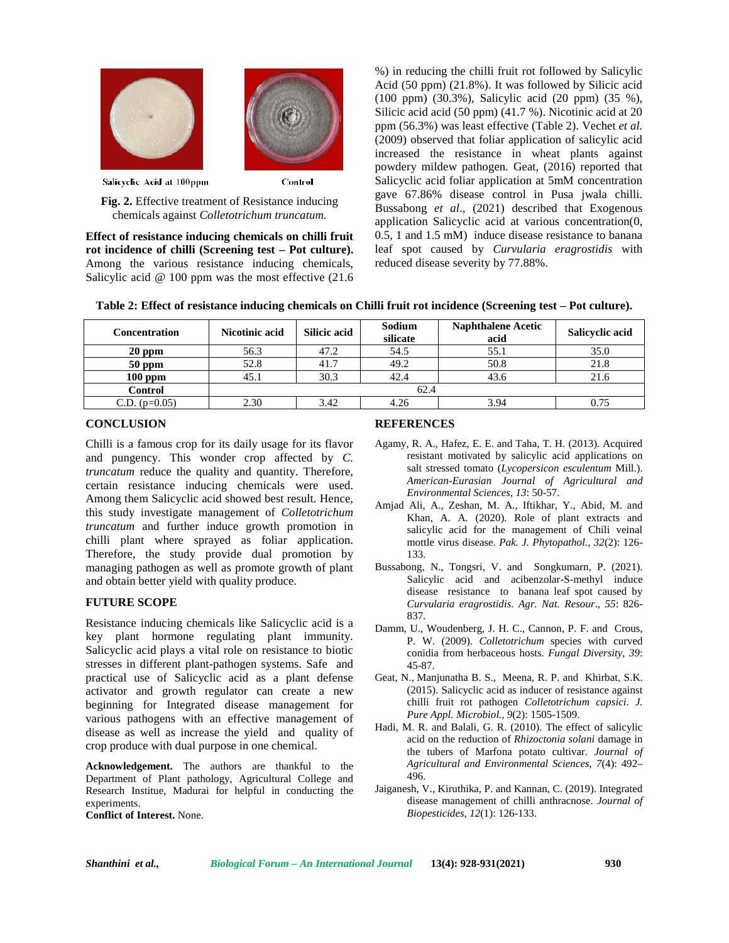

Salicyclic Acid at 100ppm

Control

**Fig. 2.** Effective treatment of Resistance inducing chemicals against *Colletotrichum truncatum.*

**Effect of resistance inducing chemicals on chilli fruit rot incidence of chilli (Screening test – Pot culture).** Among the various resistance inducing chemicals, Salicylic acid @ 100 ppm was the most effective (21.6)

%) in reducing the chilli fruit rot followed by Salicylic Acid (50 ppm) (21.8%). It was followed by Silicic acid (100 ppm) (30.3%), Salicylic acid (20 ppm) (35 %), Silicic acid acid (50 ppm) (41.7 %). Nicotinic acid at 20 ppm (56.3%) was least effective (Table 2). Vechet *et al.* (2009) observed that foliar application of salicylic acid increased the resistance in wheat plants against powdery mildew pathogen. Geat, (2016) reported that Salicyclic acid foliar application at 5mM concentration gave 67.86% disease control in Pusa jwala chilli. Bussabong *et al*., (2021) described that Exogenous application Salicyclic acid at various concentration(0, 0.5, 1 and 1.5 mM) induce disease resistance to banana leaf spot caused by *Curvularia eragrostidis* with reduced disease severity by 77.88%.

| <b>Concentration</b> | Nicotinic acid | <b>Silicic acid</b> | Sodium<br>silicate | <b>Naphthalene Acetic</b><br>acid | Salicyclic acid |  |  |  |  |
|----------------------|----------------|---------------------|--------------------|-----------------------------------|-----------------|--|--|--|--|
| $20$ ppm             | 56.3           | 47.2                | 54.5               | 55.1                              | 35.0            |  |  |  |  |
| $50$ ppm             | 52.8           | 41.7                | 49.2               | 50.8                              | 21.8            |  |  |  |  |
| $100$ ppm            | 45.1           | 30.3                | 42.4               | 43.6                              | 21.6            |  |  |  |  |
| <b>Control</b>       | 62.4           |                     |                    |                                   |                 |  |  |  |  |
| C.D. $(p=0.05)$      | 2.30           | 3.42                | 4.26               | 3.94                              |                 |  |  |  |  |

## **CONCLUSION**

Chilli is a famous crop for its daily usage for its flavor and pungency. This wonder crop affected by *C. truncatum* reduce the quality and quantity. Therefore, certain resistance inducing chemicals were used. Among them Salicyclic acid showed best result. Hence, this study investigate management of *Colletotrichum truncatum* and further induce growth promotion in chilli plant where sprayed as foliar application. Therefore, the study provide dual promotion by managing pathogen as well as promote growth of plant and obtain better yield with quality produce.

# **FUTURE SCOPE**

Resistance inducing chemicals like Salicyclic acid is a key plant hormone regulating plant immunity. Salicyclic acid plays a vital role on resistance to biotic stresses in different plant-pathogen systems. Safe and practical use of Salicyclic acid as a plant defense activator and growth regulator can create a new beginning for Integrated disease management for various pathogens with an effective management of disease as well as increase the yield and quality of crop produce with dual purpose in one chemical.

**Acknowledgement.** The authors are thankful to the Department of Plant pathology, Agricultural College and Research Institue, Madurai for helpful in conducting the experiments.

**Conflict of Interest.** None.

#### **REFERENCES**

- Agamy, R. A., Hafez, E. E. and Taha, T. H. (2013). Acquired resistant motivated by salicylic acid applications on salt stressed tomato (*Lycopersicon esculentum* Mill.). *American-Eurasian Journal of Agricultural and Environmental Sciences*, *13*: 50-57.
- Amjad Ali, A., Zeshan, M. A., Iftikhar, Y., Abid, M. and Khan, A. A. (2020). Role of plant extracts and salicylic acid for the management of Chili veinal mottle virus disease. *Pak. J. Phytopathol.*, *32*(2): 126- 133.
- Bussabong, N., Tongsri, V. and Songkumarn, P. (2021). Salicylic acid and acibenzolar-S-methyl induce disease resistance to banana leaf spot caused by *Curvularia eragrostidis*. *Agr. Nat. Resour*., *55*: 826- 837.
- Damm, U., Woudenberg, J. H. C., Cannon, P. F. and Crous, P. W. (2009). *Colletotrichum* species with curved conidia from herbaceous hosts. *Fungal Diversity*, *39*: 45-87.
- Geat, N., Manjunatha B. S., Meena, R. P. and Khirbat, S.K. (2015). Salicyclic acid as inducer of resistance against chilli fruit rot pathogen *Colletotrichum capsici*. *J. Pure Appl. Microbiol., 9*(2): 1505-1509.
- Hadi, M. R. and Balali, G. R. (2010). The effect of salicylic acid on the reduction of *Rhizoctonia solani* damage in the tubers of Marfona potato cultivar. *Journal of Agricultural and Environmental Sciences*, *7*(4): 492– 496.
- Jaiganesh, V., Kiruthika, P. and Kannan, C. (2019). Integrated disease management of chilli anthracnose. *Journal of Biopesticides*, *12*(1): 126-133.